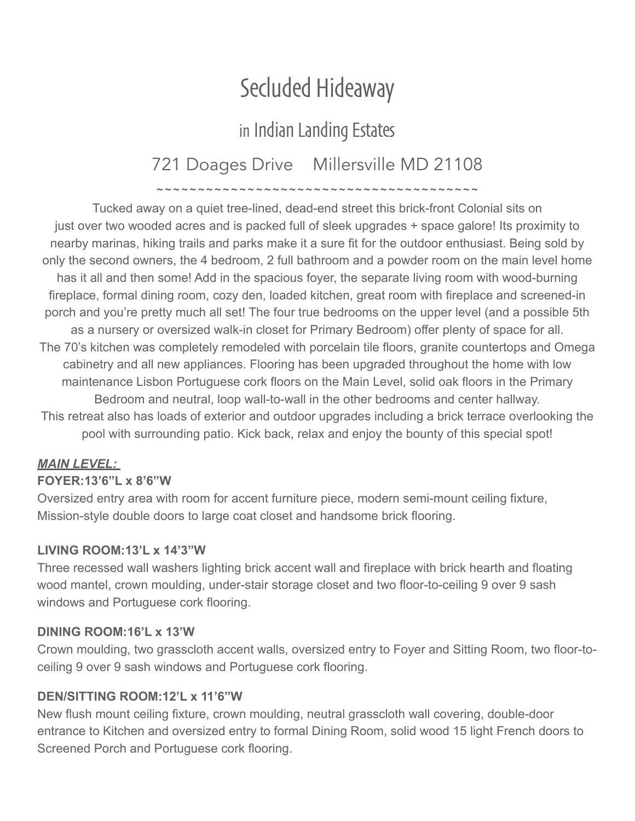# Secluded Hideaway

in Indian Landing Estates

721 Doages Drive Millersville MD 21108

~~~~~~~~~~~~~~~~~~~~~~~~~~~~~~~~~~~~

Tucked away on a quiet tree-lined, dead-end street this brick-front Colonial sits on just over two wooded acres and is packed full of sleek upgrades + space galore! Its proximity to nearby marinas, hiking trails and parks make it a sure fit for the outdoor enthusiast. Being sold by only the second owners, the 4 bedroom, 2 full bathroom and a powder room on the main level home has it all and then some! Add in the spacious foyer, the separate living room with wood-burning fireplace, formal dining room, cozy den, loaded kitchen, great room with fireplace and screened-in porch and you're pretty much all set! The four true bedrooms on the upper level (and a possible 5th as a nursery or oversized walk-in closet for Primary Bedroom) offer plenty of space for all. The 70's kitchen was completely remodeled with porcelain tile floors, granite countertops and Omega cabinetry and all new appliances. Flooring has been upgraded throughout the home with low maintenance Lisbon Portuguese cork floors on the Main Level, solid oak floors in the Primary Bedroom and neutral, loop wall-to-wall in the other bedrooms and center hallway. This retreat also has loads of exterior and outdoor upgrades including a brick terrace overlooking the pool with surrounding patio. Kick back, relax and enjoy the bounty of this special spot!

## *MAIN LEVEL:*

### **FOYER:13'6"L x 8'6"W**

Oversized entry area with room for accent furniture piece, modern semi-mount ceiling fixture, Mission-style double doors to large coat closet and handsome brick flooring.

#### **LIVING ROOM:13'L x 14'3"W**

Three recessed wall washers lighting brick accent wall and fireplace with brick hearth and floating wood mantel, crown moulding, under-stair storage closet and two floor-to-ceiling 9 over 9 sash windows and Portuguese cork flooring.

#### **DINING ROOM:16'L x 13'W**

Crown moulding, two grasscloth accent walls, oversized entry to Foyer and Sitting Room, two floor-toceiling 9 over 9 sash windows and Portuguese cork flooring.

#### **DEN/SITTING ROOM:12'L x 11'6"W**

New flush mount ceiling fixture, crown moulding, neutral grasscloth wall covering, double-door entrance to Kitchen and oversized entry to formal Dining Room, solid wood 15 light French doors to Screened Porch and Portuguese cork flooring.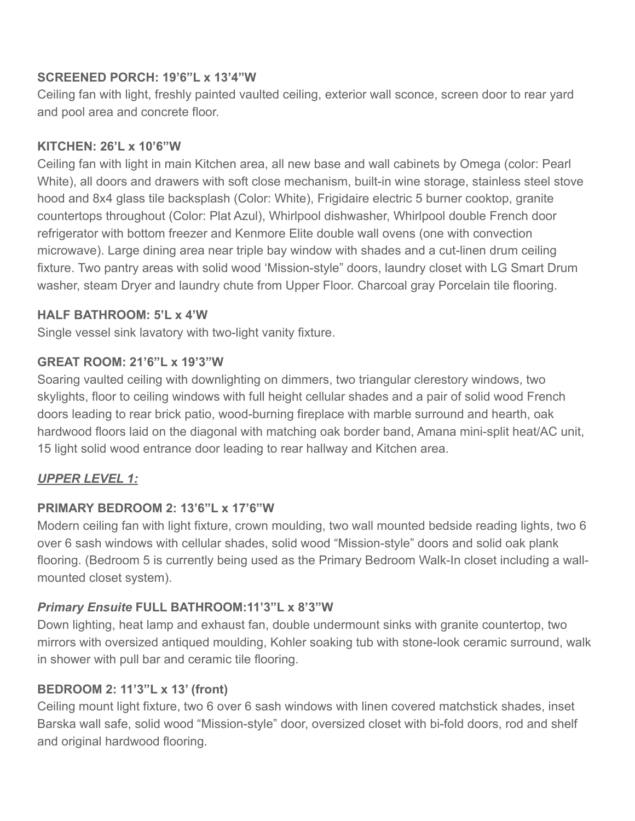#### **SCREENED PORCH: 19'6"L x 13'4"W**

Ceiling fan with light, freshly painted vaulted ceiling, exterior wall sconce, screen door to rear yard and pool area and concrete floor.

#### **KITCHEN: 26'L x 10'6"W**

Ceiling fan with light in main Kitchen area, all new base and wall cabinets by Omega (color: Pearl White), all doors and drawers with soft close mechanism, built-in wine storage, stainless steel stove hood and 8x4 glass tile backsplash (Color: White), Frigidaire electric 5 burner cooktop, granite countertops throughout (Color: Plat Azul), Whirlpool dishwasher, Whirlpool double French door refrigerator with bottom freezer and Kenmore Elite double wall ovens (one with convection microwave). Large dining area near triple bay window with shades and a cut-linen drum ceiling fixture. Two pantry areas with solid wood 'Mission-style" doors, laundry closet with LG Smart Drum washer, steam Dryer and laundry chute from Upper Floor. Charcoal gray Porcelain tile flooring.

#### **HALF BATHROOM: 5'L x 4'W**

Single vessel sink lavatory with two-light vanity fixture.

#### **GREAT ROOM: 21'6"L x 19'3"W**

Soaring vaulted ceiling with downlighting on dimmers, two triangular clerestory windows, two skylights, floor to ceiling windows with full height cellular shades and a pair of solid wood French doors leading to rear brick patio, wood-burning fireplace with marble surround and hearth, oak hardwood floors laid on the diagonal with matching oak border band, Amana mini-split heat/AC unit, 15 light solid wood entrance door leading to rear hallway and Kitchen area.

#### *UPPER LEVEL 1:*

#### **PRIMARY BEDROOM 2: 13'6"L x 17'6"W**

Modern ceiling fan with light fixture, crown moulding, two wall mounted bedside reading lights, two 6 over 6 sash windows with cellular shades, solid wood "Mission-style" doors and solid oak plank flooring. (Bedroom 5 is currently being used as the Primary Bedroom Walk-In closet including a wallmounted closet system).

#### *Primary Ensuite* **FULL BATHROOM:11'3"L x 8'3"W**

Down lighting, heat lamp and exhaust fan, double undermount sinks with granite countertop, two mirrors with oversized antiqued moulding, Kohler soaking tub with stone-look ceramic surround, walk in shower with pull bar and ceramic tile flooring.

#### **BEDROOM 2: 11'3"L x 13' (front)**

Ceiling mount light fixture, two 6 over 6 sash windows with linen covered matchstick shades, inset Barska wall safe, solid wood "Mission-style" door, oversized closet with bi-fold doors, rod and shelf and original hardwood flooring.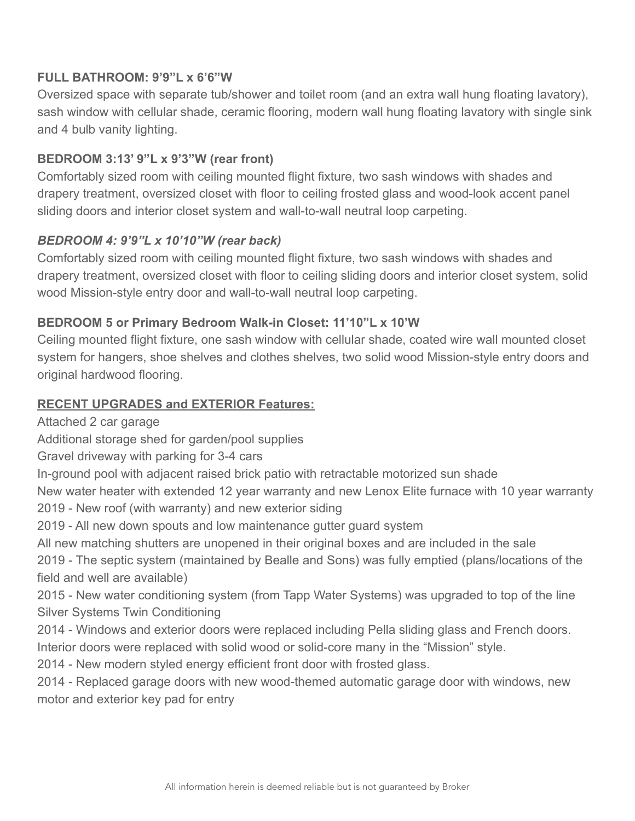#### **FULL BATHROOM: 9'9"L x 6'6"W**

Oversized space with separate tub/shower and toilet room (and an extra wall hung floating lavatory), sash window with cellular shade, ceramic flooring, modern wall hung floating lavatory with single sink and 4 bulb vanity lighting.

#### **BEDROOM 3:13' 9"L x 9'3"W (rear front)**

Comfortably sized room with ceiling mounted flight fixture, two sash windows with shades and drapery treatment, oversized closet with floor to ceiling frosted glass and wood-look accent panel sliding doors and interior closet system and wall-to-wall neutral loop carpeting.

#### *BEDROOM 4: 9'9"L x 10'10"W (rear back)*

Comfortably sized room with ceiling mounted flight fixture, two sash windows with shades and drapery treatment, oversized closet with floor to ceiling sliding doors and interior closet system, solid wood Mission-style entry door and wall-to-wall neutral loop carpeting.

#### **BEDROOM 5 or Primary Bedroom Walk-in Closet: 11'10"L x 10'W**

Ceiling mounted flight fixture, one sash window with cellular shade, coated wire wall mounted closet system for hangers, shoe shelves and clothes shelves, two solid wood Mission-style entry doors and original hardwood flooring.

#### **RECENT UPGRADES and EXTERIOR Features:**

Attached 2 car garage

Additional storage shed for garden/pool supplies

Gravel driveway with parking for 3-4 cars

In-ground pool with adjacent raised brick patio with retractable motorized sun shade

New water heater with extended 12 year warranty and new Lenox Elite furnace with 10 year warranty 2019 - New roof (with warranty) and new exterior siding

2019 - All new down spouts and low maintenance gutter guard system

All new matching shutters are unopened in their original boxes and are included in the sale

2019 - The septic system (maintained by Bealle and Sons) was fully emptied (plans/locations of the field and well are available)

2015 - New water conditioning system (from Tapp Water Systems) was upgraded to top of the line Silver Systems Twin Conditioning

2014 - Windows and exterior doors were replaced including Pella sliding glass and French doors. Interior doors were replaced with solid wood or solid-core many in the "Mission" style.

2014 - New modern styled energy efficient front door with frosted glass.

2014 - Replaced garage doors with new wood-themed automatic garage door with windows, new motor and exterior key pad for entry